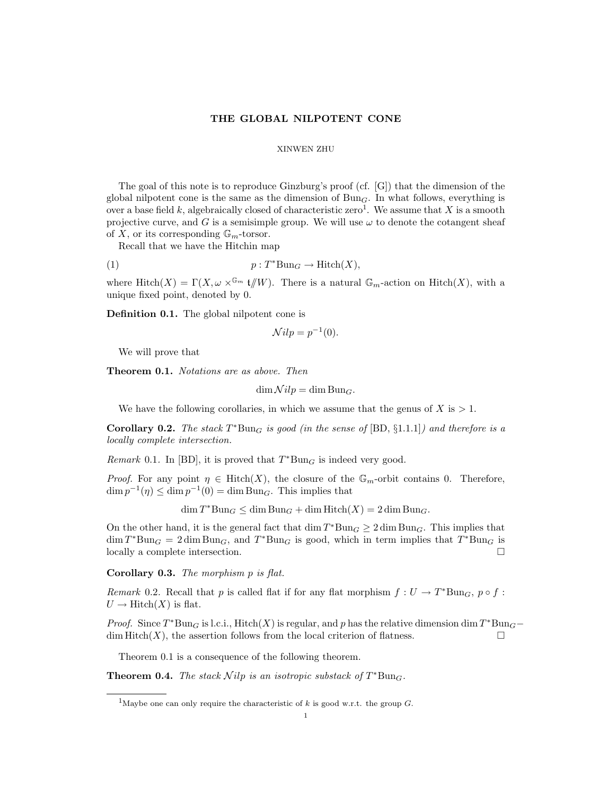## THE GLOBAL NILPOTENT CONE

## XINWEN ZHU

The goal of this note is to reproduce Ginzburg's proof (cf. [G]) that the dimension of the global nilpotent cone is the same as the dimension of  $Bun<sub>G</sub>$ . In what follows, everything is over a base field k, algebraically closed of characteristic zero<sup>1</sup>. We assume that X is a smooth projective curve, and G is a semisimple group. We will use  $\omega$  to denote the cotangent sheaf of X, or its corresponding  $\mathbb{G}_m$ -torsor.

Recall that we have the Hitchin map

(1) 
$$
p: T^* \text{Bun}_G \to \text{Hitch}(X),
$$

where  $\text{Hitch}(X) = \Gamma(X, \omega \times^{\mathbb{G}_m} \mathfrak{t}/W)$ . There is a natural  $\mathbb{G}_m$ -action on  $\text{Hitch}(X)$ , with a unique fixed point, denoted by 0.

Definition 0.1. The global nilpotent cone is

$$
\mathcal{N}ilp = p^{-1}(0).
$$

We will prove that

Theorem 0.1. Notations are as above. Then

 $\dim \mathcal{N}ilp = \dim \mathrm{Bun}_G.$ 

We have the following corollaries, in which we assume that the genus of  $X$  is  $> 1$ .

Corollary 0.2. The stack  $T^*Bun_G$  is good (in the sense of  $[BD, §1.1.1]$ ) and therefore is a locally complete intersection.

Remark 0.1. In [BD], it is proved that  $T^*Bun_G$  is indeed very good.

*Proof.* For any point  $\eta \in \text{Hitch}(X)$ , the closure of the  $\mathbb{G}_m$ -orbit contains 0. Therefore,  $\dim p^{-1}(\eta) \leq \dim p^{-1}(0) = \dim \text{Bun}_G$ . This implies that

 $\dim T^* \text{Bun}_G \leq \dim \text{Bun}_G + \dim \text{Hitch}(X) = 2 \dim \text{Bun}_G.$ 

On the other hand, it is the general fact that  $\dim T^* \text{Bun}_G \geq 2 \dim \text{Bun}_G$ . This implies that  $\dim T^* \text{Bun}_G = 2 \dim \text{Bun}_G$ , and  $T^* \text{Bun}_G$  is good, which in term implies that  $T^* \text{Bun}_G$  is locally a complete intersection.

Corollary 0.3. The morphism p is flat.

Remark 0.2. Recall that p is called flat if for any flat morphism  $f: U \to T^*Bun_G$ ,  $p \circ f$ :  $U \to \text{Hitch}(X)$  is flat.

*Proof.* Since  $T^*Bun_G$  is l.c.i., Hitch(X) is regular, and p has the relative dimension dim  $T^*Bun_G$  $\dim$  Hitch(X), the assertion follows from the local criterion of flatness.

Theorem 0.1 is a consequence of the following theorem.

**Theorem 0.4.** The stack  $Nilp$  is an isotropic substack of  $T^*Bun_G$ .

<sup>&</sup>lt;sup>1</sup>Maybe one can only require the characteristic of k is good w.r.t. the group  $G$ .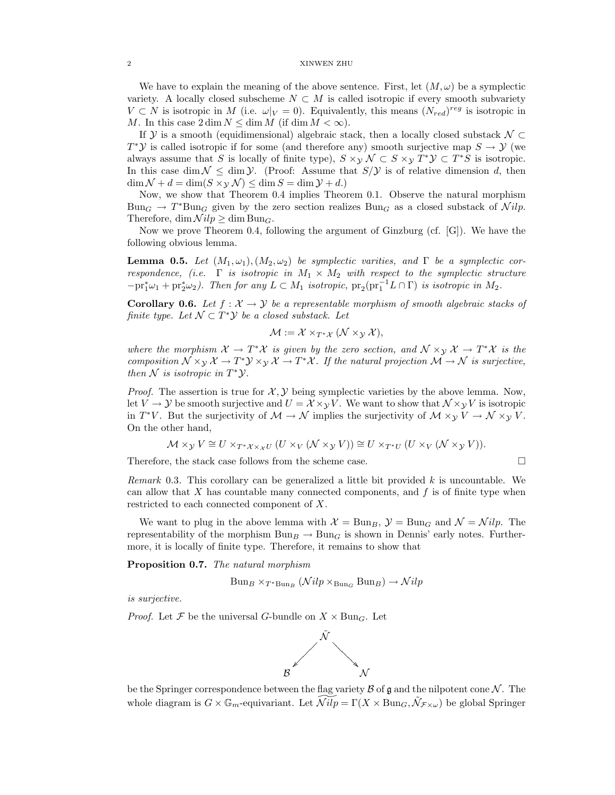We have to explain the meaning of the above sentence. First, let  $(M, \omega)$  be a symplectic variety. A locally closed subscheme  $N \subset M$  is called isotropic if every smooth subvariety  $V \subset N$  is isotropic in M (i.e.  $\omega|_V = 0$ ). Equivalently, this means  $(N_{red})^{reg}$  is isotropic in M. In this case  $2 \dim N \leq \dim M$  (if  $\dim M < \infty$ ).

If Y is a smooth (equidimensional) algebraic stack, then a locally closed substack  $\mathcal{N} \subset$  $T^*\mathcal{Y}$  is called isotropic if for some (and therefore any) smooth surjective map  $S \to \mathcal{Y}$  (we always assume that S is locally of finite type),  $S \times_{\mathcal{Y}} \mathcal{N} \subset S \times_{\mathcal{Y}} T^* \mathcal{Y} \subset T^*S$  is isotropic. In this case dim  $\mathcal{N} \leq \dim \mathcal{Y}$ . (Proof: Assume that  $S/\mathcal{Y}$  is of relative dimension d, then  $\dim \mathcal{N} + d = \dim(S \times_{\mathcal{V}} \mathcal{N}) \leq \dim S = \dim \mathcal{Y} + d.$ 

Now, we show that Theorem 0.4 implies Theorem 0.1. Observe the natural morphism  $Bun_G \to T^*Bun_G$  given by the zero section realizes  $Bun_G$  as a closed substack of  $Nilp$ . Therefore, dim  $\mathcal{N}ilp \geq \dim \mathrm{Bun}_G$ .

Now we prove Theorem 0.4, following the argument of Ginzburg (cf. [G]). We have the following obvious lemma.

**Lemma 0.5.** Let  $(M_1, \omega_1), (M_2, \omega_2)$  be symplectic varities, and  $\Gamma$  be a symplectic correspondence, (i.e.  $\Gamma$  is isotropic in  $M_1 \times M_2$  with respect to the symplectic structure  $-\text{pr}_1^*\omega_1 + \text{pr}_2^*\omega_2$ ). Then for any  $L \subset M_1$  isotropic,  $\text{pr}_2(\text{pr}_1^{-1}L \cap \Gamma)$  is isotropic in  $M_2$ .

**Corollary 0.6.** Let  $f : \mathcal{X} \to \mathcal{Y}$  be a representable morphism of smooth algebraic stacks of finite type. Let  $\mathcal{N} \subset T^* \mathcal{Y}$  be a closed substack. Let

$$
\mathcal{M} := \mathcal{X} \times_{T^* \mathcal{X}} (\mathcal{N} \times_{\mathcal{Y}} \mathcal{X}),
$$

where the morphism  $\mathcal{X} \to T^*\mathcal{X}$  is given by the zero section, and  $\mathcal{N} \times_{\mathcal{Y}} \mathcal{X} \to T^*\mathcal{X}$  is the composition  $\mathcal{N} \times_{\mathcal{Y}} \mathcal{X} \to T^* \mathcal{Y} \times_{\mathcal{Y}} \mathcal{X} \to T^* \mathcal{X}$ . If the natural projection  $\mathcal{M} \to \mathcal{N}$  is surjective, then  $N$  is isotropic in  $T^*\mathcal{Y}$ .

*Proof.* The assertion is true for  $\mathcal{X}, \mathcal{Y}$  being symplectic varieties by the above lemma. Now, let  $V \to Y$  be smooth surjective and  $U = \mathcal{X} \times_Y V$ . We want to show that  $\mathcal{N} \times_Y V$  is isotropic in  $T^*V$ . But the surjectivity of  $\mathcal{M} \to \mathcal{N}$  implies the surjectivity of  $\mathcal{M} \times_{\mathcal{Y}} V \to \mathcal{N} \times_{\mathcal{Y}} V$ . On the other hand,

$$
\mathcal{M} \times_{\mathcal{Y}} V \cong U \times_{T^* \mathcal{X} \times_{\mathcal{X}} U} (U \times_V (\mathcal{N} \times_{\mathcal{Y}} V)) \cong U \times_{T^* U} (U \times_V (\mathcal{N} \times_{\mathcal{Y}} V)).
$$

Therefore, the stack case follows from the scheme case.  $\Box$ 

Remark 0.3. This corollary can be generalized a little bit provided  $k$  is uncountable. We can allow that  $X$  has countable many connected components, and  $f$  is of finite type when restricted to each connected component of X.

We want to plug in the above lemma with  $\mathcal{X} = \text{Bun}_B$ ,  $\mathcal{Y} = \text{Bun}_G$  and  $\mathcal{N} = \mathcal{N}ilp$ . The representability of the morphism  $Bun_B \to Bun_G$  is shown in Dennis' early notes. Furthermore, it is locally of finite type. Therefore, it remains to show that

Proposition 0.7. The natural morphism

 $Bun_B \times_{T^*Bun_B} (Nilp \times_{Bun_G} Bun_B) \rightarrow Nilp$ 

is surjective.

*Proof.* Let F be the universal G-bundle on  $X \times \text{Bun}_G$ . Let



be the Springer correspondence between the flag variety  $\mathcal B$  of  $\mathfrak g$  and the nilpotent cone  $\mathcal N$ . The whole diagram is  $G \times \mathbb{G}_m$ -equivariant. Let  $Nilp = \Gamma(X \times \text{Bun}_G, \tilde{\mathcal{N}}_{\mathcal{F} \times \omega})$  be global Springer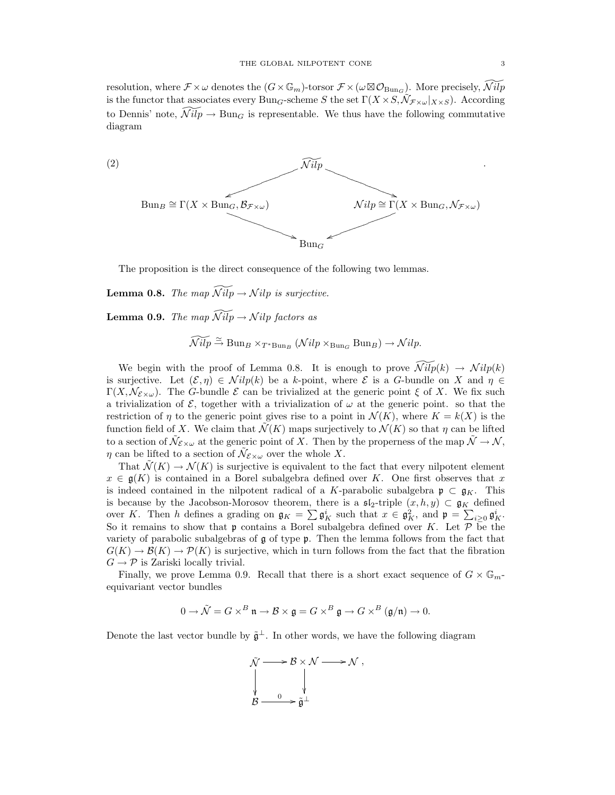resolution, where  $\mathcal{F} \times \omega$  denotes the  $(G \times \mathbb{G}_m)$ -torsor  $\mathcal{F} \times (\omega \boxtimes \mathcal{O}_{\text{Bun}_G})$ . More precisely,  $\widetilde{\mathcal{N}ilp}$ is the functor that associates every  $\text{Bun}_G\text{-scheme }S$  the set  $\Gamma(X \times S, \tilde{\mathcal{N}}_{\mathcal{F} \times \omega}|_{X \times S})$ . According to Dennis' note,  $\widetilde{\mathcal{N}ilp} \to \text{Bun}_G$  is representable. We thus have the following commutative diagram



The proposition is the direct consequence of the following two lemmas.

**Lemma 0.8.** The map  $\widetilde{\mathcal{N}ilp} \to \mathcal{N}ilp$  is surjective.

**Lemma 0.9.** The map  $\widetilde{\mathcal{N}ilp} \rightarrow \mathcal{N}ilp$  factors as

$$
\widetilde{\mathcal{N}ilp} \stackrel{\simeq}{\to} \text{Bun}_{B} \times_{T^* \text{Bun}_{B}} (\mathcal{N}ilp \times_{\text{Bun}_{G}} \text{Bun}_{B}) \to \mathcal{N}ilp.
$$

We begin with the proof of Lemma 0.8. It is enough to prove  $\widetilde{\mathcal{N}ilp}(k) \rightarrow \mathcal{N}ilp(k)$ is surjective. Let  $(\mathcal{E}, \eta) \in \mathcal{N}ilp(k)$  be a k-point, where  $\mathcal E$  is a G-bundle on X and  $\eta \in$  $\Gamma(X, \mathcal{N}_{\varepsilon \times \omega})$ . The G-bundle  $\varepsilon$  can be trivialized at the generic point  $\xi$  of X. We fix such a trivialization of  $\mathcal{E}$ , together with a trivialization of  $\omega$  at the generic point. so that the restriction of  $\eta$  to the generic point gives rise to a point in  $\mathcal{N}(K)$ , where  $K = k(X)$  is the function field of X. We claim that  $\tilde{\mathcal{N}}(K)$  maps surjectively to  $\mathcal{N}(K)$  so that  $\eta$  can be lifted to a section of  $\tilde{\mathcal{N}}_{\mathcal{E}\times\omega}$  at the generic point of X. Then by the properness of the map  $\tilde{\mathcal{N}}\to\mathcal{N}$ ,  $\eta$  can be lifted to a section of  $\tilde{\mathcal{N}}_{\mathcal{E}\times\omega}$  over the whole X.

That  $\mathcal{N}(K) \to \mathcal{N}(K)$  is surjective is equivalent to the fact that every nilpotent element  $x \in \mathfrak{g}(K)$  is contained in a Borel subalgebra defined over K. One first observes that x is indeed contained in the nilpotent radical of a K-parabolic subalgebra  $\mathfrak{p} \subset \mathfrak{g}_K$ . This is because by the Jacobson-Morosov theorem, there is a  $\mathfrak{sl}_2$ -triple  $(x, h, y) \subset \mathfrak{g}_K$  defined over K. Then h defines a grading on  $\mathfrak{g}_K = \sum \mathfrak{g}_K^i$  such that  $x \in \mathfrak{g}_K^2$ , and  $\mathfrak{p} = \sum_{i \geq 0} \mathfrak{g}_K^i$ . So it remains to show that  $\mathfrak p$  contains a Borel subalgebra defined over K. Let  $\mathcal P$  be the variety of parabolic subalgebras of g of type p. Then the lemma follows from the fact that  $G(K) \to \mathcal{B}(K) \to \mathcal{P}(K)$  is surjective, which in turn follows from the fact that the fibration  $G \rightarrow \mathcal{P}$  is Zariski locally trivial.

Finally, we prove Lemma 0.9. Recall that there is a short exact sequence of  $G \times \mathbb{G}_m$ . equivariant vector bundles

$$
0 \to \tilde{\mathcal{N}} = G \times^B \mathfrak{n} \to \mathcal{B} \times \mathfrak{g} = G \times^B \mathfrak{g} \to G \times^B (\mathfrak{g}/\mathfrak{n}) \to 0.
$$

Denote the last vector bundle by  $\tilde{\mathfrak{g}}^{\perp}$ . In other words, we have the following diagram